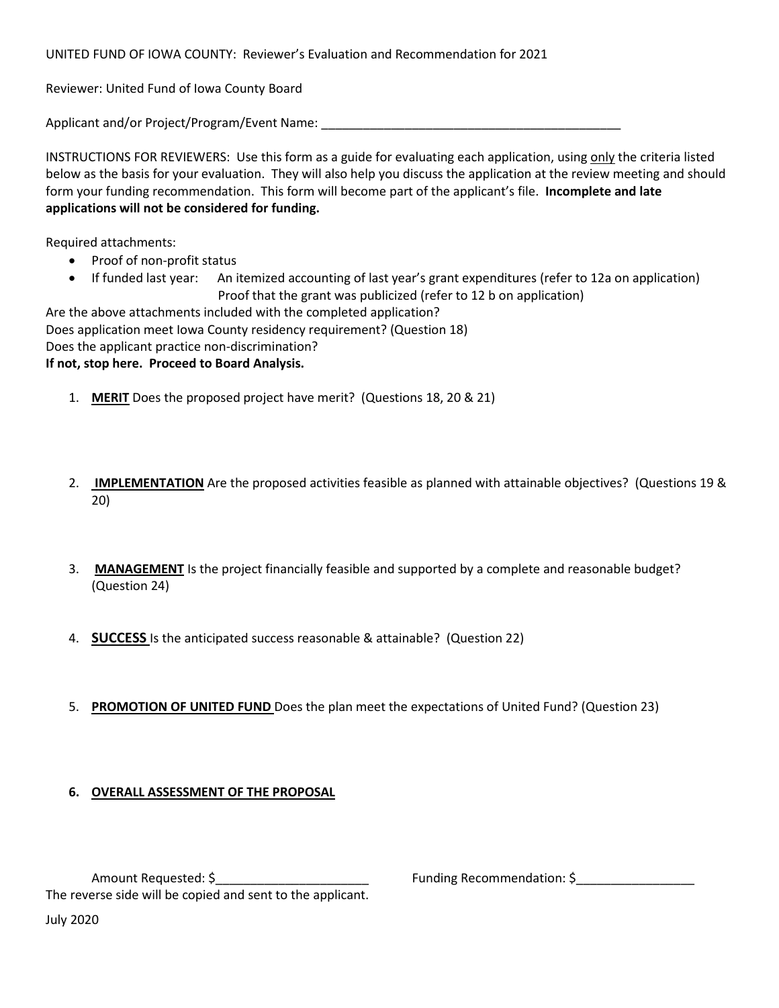UNITED FUND OF IOWA COUNTY: Reviewer's Evaluation and Recommendation for 2021

Reviewer: United Fund of Iowa County Board

Applicant and/or Project/Program/Event Name:

INSTRUCTIONS FOR REVIEWERS: Use this form as a guide for evaluating each application, using only the criteria listed below as the basis for your evaluation. They will also help you discuss the application at the review meeting and should form your funding recommendation. This form will become part of the applicant's file. **Incomplete and late applications will not be considered for funding.**

Required attachments:

- Proof of non-profit status
- If funded last year: An itemized accounting of last year's grant expenditures (refer to 12a on application) Proof that the grant was publicized (refer to 12 b on application)

Are the above attachments included with the completed application? Does application meet Iowa County residency requirement? (Question 18) Does the applicant practice non-discrimination? **If not, stop here. Proceed to Board Analysis.**

- 1. **MERIT** Does the proposed project have merit? (Questions 18, 20 & 21)
- 2. **IMPLEMENTATION** Are the proposed activities feasible as planned with attainable objectives? (Questions 19 & 20)
- 3. **MANAGEMENT** Is the project financially feasible and supported by a complete and reasonable budget? (Question 24)
- 4. **SUCCESS** Is the anticipated success reasonable & attainable? (Question 22)
- 5. **PROMOTION OF UNITED FUND** Does the plan meet the expectations of United Fund? (Question 23)

## **6. OVERALL ASSESSMENT OF THE PROPOSAL**

July 2020